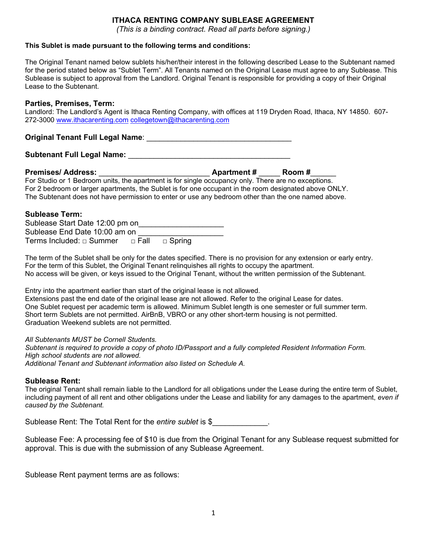# **ITHACA RENTING COMPANY SUBLEASE AGREEMENT**

*(This is a binding contract. Read all parts before signing.)*

#### **This Sublet is made pursuant to the following terms and conditions:**

The Original Tenant named below sublets his/her/their interest in the following described Lease to the Subtenant named for the period stated below as "Sublet Term". All Tenants named on the Original Lease must agree to any Sublease. This Sublease is subject to approval from the Landlord. Original Tenant is responsible for providing a copy of their Original Lease to the Subtenant.

### **Parties, Premises, Term:**

Landlord: The Landlord's Agent is Ithaca Renting Company, with offices at 119 Dryden Road, Ithaca, NY 14850. 607- 272-3000 [www.ithacarenting.com](http://www.ithacarenting.com/) [collegetown@ithacarenting.com](mailto:collegetown@ithacarenting.com)

# **Original Tenant Full Legal Name**: \_\_\_\_\_\_\_\_\_\_\_\_\_\_\_\_\_\_\_\_\_\_\_\_\_\_\_\_\_\_\_\_\_\_

# **Subtenant Full Legal Name:** \_\_\_\_\_\_\_\_\_\_\_\_\_\_\_\_\_\_\_\_\_\_\_\_\_\_\_\_\_\_\_\_\_\_\_\_\_\_

**Premises/ Address:** \_\_\_\_\_\_\_\_\_\_\_\_\_\_\_\_\_\_\_\_\_\_\_\_\_\_ **Apartment #** \_\_\_\_\_ **Room #**\_\_\_\_\_\_ For Studio or 1 Bedroom units, the apartment is for single occupancy only. There are no exceptions. For 2 bedroom or larger apartments, the Sublet is for one occupant in the room designated above ONLY. The Subtenant does not have permission to enter or use any bedroom other than the one named above.

## **Sublease Term:**

Sublease Start Date 12:00 pm on Sublease End Date 10:00 am on Terms Included: □ Summer □ Fall □ Spring

The term of the Sublet shall be only for the dates specified. There is no provision for any extension or early entry. For the term of this Sublet, the Original Tenant relinquishes all rights to occupy the apartment. No access will be given, or keys issued to the Original Tenant, without the written permission of the Subtenant.

Entry into the apartment earlier than start of the original lease is not allowed.

Extensions past the end date of the original lease are not allowed. Refer to the original Lease for dates. One Sublet request per academic term is allowed. Minimum Sublet length is one semester or full summer term. Short term Sublets are not permitted. AirBnB, VBRO or any other short-term housing is not permitted. Graduation Weekend sublets are not permitted.

### *All Subtenants MUST be Cornell Students.*

*Subtenant is required to provide a copy of photo ID/Passport and a fully completed Resident Information Form. High school students are not allowed. Additional Tenant and Subtenant information also listed on Schedule A.* 

### **Sublease Rent:**

The original Tenant shall remain liable to the Landlord for all obligations under the Lease during the entire term of Sublet, including payment of all rent and other obligations under the Lease and liability for any damages to the apartment, *even if caused by the Subtenant.*

Sublease Rent: The Total Rent for the *entire sublet* is \$

Sublease Fee: A processing fee of \$10 is due from the Original Tenant for any Sublease request submitted for approval. This is due with the submission of any Sublease Agreement.

Sublease Rent payment terms are as follows: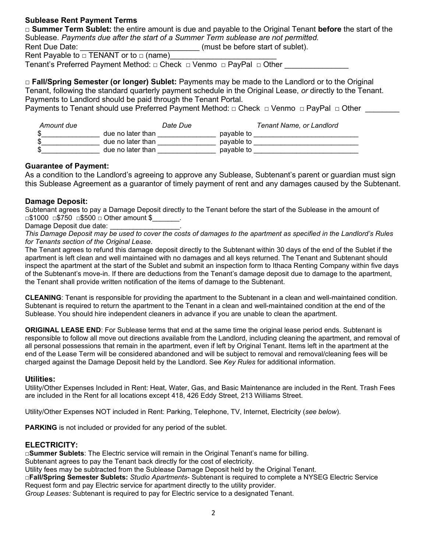# **Sublease Rent Payment Terms**

□ **Summer Term Sublet:** the entire amount is due and payable to the Original Tenant **before** the start of the Sublease. *Payments due after the start of a Summer Term sublease are not permitted.* Rent Due Date: \_\_\_\_\_\_\_\_\_\_\_\_\_\_\_\_\_\_\_\_\_\_\_\_\_\_\_\_ (must be before start of sublet).

Rent Payable to  $\Box$  TENANT or to  $\Box$  (name)

Tenant's Preferred Payment Method: □ Check □ Venmo □ PayPal □ Other

□ **Fall/Spring Semester (or longer) Sublet:** Payments may be made to the Landlord or to the Original Tenant, following the standard quarterly payment schedule in the Original Lease, *or* directly to the Tenant. Payments to Landlord should be paid through the Tenant Portal.

Payments to Tenant should use Preferred Payment Method: □ Check □ Venmo □ PayPal □ Other

| Amount due | Date Due          |            | Tenant Name, or Landlord |
|------------|-------------------|------------|--------------------------|
| \$         | due no later than | pavable to |                          |
| \$         | due no later than | pavable to |                          |
| \$         | due no later than | pavable to |                          |

# **Guarantee of Payment:**

As a condition to the Landlord's agreeing to approve any Sublease, Subtenant's parent or guardian must sign this Sublease Agreement as a guarantor of timely payment of rent and any damages caused by the Subtenant.

# **Damage Deposit:**

Subtenant agrees to pay a Damage Deposit directly to the Tenant before the start of the Sublease in the amount of □\$1000 □\$750 □\$500 □ Other amount \$

Damage Deposit due date:

*This Damage Deposit may be used to cover the costs of damages to the apartment as specified in the Landlord's Rules for Tenants section of the Original Lease.* 

The Tenant agrees to refund this damage deposit directly to the Subtenant within 30 days of the end of the Sublet if the apartment is left clean and well maintained with no damages and all keys returned. The Tenant and Subtenant should inspect the apartment at the start of the Sublet and submit an inspection form to Ithaca Renting Company within five days of the Subtenant's move-in. If there are deductions from the Tenant's damage deposit due to damage to the apartment, the Tenant shall provide written notification of the items of damage to the Subtenant.

**CLEANING**: Tenant is responsible for providing the apartment to the Subtenant in a clean and well-maintained condition. Subtenant is required to return the apartment to the Tenant in a clean and well-maintained condition at the end of the Sublease. You should hire independent cleaners in advance if you are unable to clean the apartment.

**ORIGINAL LEASE END**: For Sublease terms that end at the same time the original lease period ends. Subtenant is responsible to follow all move out directions available from the Landlord, including cleaning the apartment, and removal of all personal possessions that remain in the apartment, even if left by Original Tenant. Items left in the apartment at the end of the Lease Term will be considered abandoned and will be subject to removal and removal/cleaning fees will be charged against the Damage Deposit held by the Landlord. See *Key Rules* for additional information.

## **Utilities:**

Utility/Other Expenses Included in Rent: Heat, Water, Gas, and Basic Maintenance are included in the Rent. Trash Fees are included in the Rent for all locations except 418, 426 Eddy Street, 213 Williams Street.

Utility/Other Expenses NOT included in Rent: Parking, Telephone, TV, Internet, Electricity (*see below*).

**PARKING** is not included or provided for any period of the sublet.

## **ELECTRICITY:**

**□Summer Sublets**: The Electric service will remain in the Original Tenant's name for billing.

Subtenant agrees to pay the Tenant back directly for the cost of electricity.

Utility fees may be subtracted from the Sublease Damage Deposit held by the Original Tenant.

**□Fall/Spring Semester Sublets:** *Studio Apartments*- Subtenant is required to complete a NYSEG Electric Service Request form and pay Electric service for apartment directly to the utility provider.

*Group Leases:* Subtenant is required to pay for Electric service to a designated Tenant.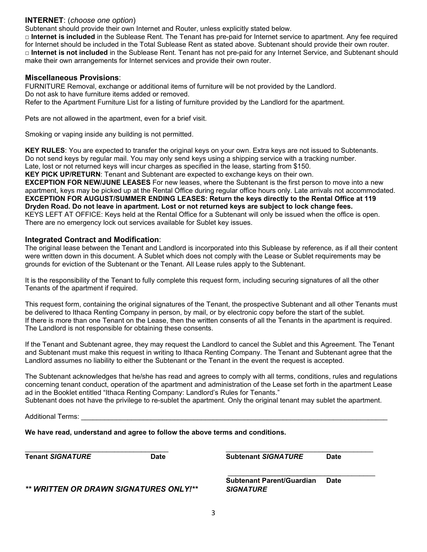# **INTERNET**: (*choose one option*)

Subtenant should provide their own Internet and Router, unless explicitly stated below.

**□ Internet is included** in the Sublease Rent. The Tenant has pre-paid for Internet service to apartment. Any fee required for Internet should be included in the Total Sublease Rent as stated above. Subtenant should provide their own router. **□ Internet is not included** in the Sublease Rent. Tenant has not pre-paid for any Internet Service, and Subtenant should make their own arrangements for Internet services and provide their own router.

### **Miscellaneous Provisions**:

FURNITURE Removal, exchange or additional items of furniture will be not provided by the Landlord. Do not ask to have furniture items added or removed. Refer to the Apartment Furniture List for a listing of furniture provided by the Landlord for the apartment.

Pets are not allowed in the apartment, even for a brief visit.

Smoking or vaping inside any building is not permitted.

**KEY RULES**: You are expected to transfer the original keys on your own. Extra keys are not issued to Subtenants. Do not send keys by regular mail. You may only send keys using a shipping service with a tracking number. Late, lost or not returned keys will incur charges as specified in the lease, starting from \$150.

**KEY PICK UP/RETURN**: Tenant and Subtenant are expected to exchange keys on their own. **EXCEPTION FOR NEW/JUNE LEASES** For new leases, where the Subtenant is the first person to move into a new apartment, keys may be picked up at the Rental Office during regular office hours only. Late arrivals not accommodated. **EXCEPTION FOR AUGUST/SUMMER ENDING LEASES: Return the keys directly to the Rental Office at 119 Dryden Road. Do not leave in apartment. Lost or not returned keys are subject to lock change fees.**  KEYS LEFT AT OFFICE: Keys held at the Rental Office for a Subtenant will only be issued when the office is open. There are no emergency lock out services available for Sublet key issues.

### **Integrated Contract and Modification**:

The original lease between the Tenant and Landlord is incorporated into this Sublease by reference, as if all their content were written down in this document. A Sublet which does not comply with the Lease or Sublet requirements may be grounds for eviction of the Subtenant or the Tenant. All Lease rules apply to the Subtenant.

It is the responsibility of the Tenant to fully complete this request form, including securing signatures of all the other Tenants of the apartment if required.

This request form, containing the original signatures of the Tenant, the prospective Subtenant and all other Tenants must be delivered to Ithaca Renting Company in person, by mail, or by electronic copy before the start of the sublet. If there is more than one Tenant on the Lease, then the written consents of all the Tenants in the apartment is required. The Landlord is not responsible for obtaining these consents.

If the Tenant and Subtenant agree, they may request the Landlord to cancel the Sublet and this Agreement. The Tenant and Subtenant must make this request in writing to Ithaca Renting Company. The Tenant and Subtenant agree that the Landlord assumes no liability to either the Subtenant or the Tenant in the event the request is accepted.

The Subtenant acknowledges that he/she has read and agrees to comply with all terms, conditions, rules and regulations concerning tenant conduct, operation of the apartment and administration of the Lease set forth in the apartment Lease ad in the Booklet entitled "Ithaca Renting Company: Landlord's Rules for Tenants."

Subtenant does not have the privilege to re-sublet the apartment. Only the original tenant may sublet the apartment.

Additional Terms:

**We have read, understand and agree to follow the above terms and conditions.**

\_\_\_\_\_\_\_\_\_\_\_\_\_\_\_\_\_\_\_\_\_\_\_\_\_\_\_\_\_\_\_\_\_\_\_\_\_ \_\_\_\_\_\_\_\_\_\_\_\_\_\_\_\_\_\_\_\_\_\_\_\_\_\_\_\_\_\_\_\_\_\_\_\_\_\_ **Tenant** *SIGNATURE* **Date Subtenant** *SIGNATURE* **Date**

*\*\* WRITTEN OR DRAWN SIGNATURES ONLY!\*\* SIGNATURE*

 \_\_\_\_\_\_\_\_\_\_\_\_\_\_\_\_\_\_\_\_\_\_\_\_\_\_\_\_\_\_\_\_\_\_\_\_\_\_ **Subtenant Parent/Guardian Date**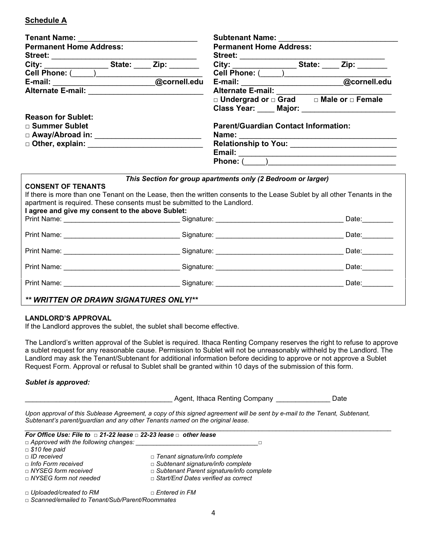# **Schedule A**

| <b>Tenant Name:</b>                                                                                                      | <b>Subtenant Name:</b> Subtenant Name:                       |                                             |                   |  |  |
|--------------------------------------------------------------------------------------------------------------------------|--------------------------------------------------------------|---------------------------------------------|-------------------|--|--|
| <b>Permanent Home Address:</b>                                                                                           |                                                              | <b>Permanent Home Address:</b>              |                   |  |  |
| Street:                                                                                                                  |                                                              |                                             |                   |  |  |
| City: State: Zip:                                                                                                        |                                                              |                                             |                   |  |  |
|                                                                                                                          |                                                              |                                             |                   |  |  |
| Cell Phone: (Call 2014)<br>E-mail: (Call 2015)<br>Cornell.edu                                                            |                                                              |                                             |                   |  |  |
|                                                                                                                          |                                                              |                                             |                   |  |  |
|                                                                                                                          | □ Undergrad or □ Grad □ Male or □ Female                     |                                             |                   |  |  |
|                                                                                                                          | Class Year: Major: 1988 Major: 2008                          |                                             |                   |  |  |
| <b>Reason for Sublet:</b>                                                                                                |                                                              |                                             |                   |  |  |
| □ Summer Sublet                                                                                                          |                                                              | <b>Parent/Guardian Contact Information:</b> |                   |  |  |
| □ Away/Abroad in: ___________________________                                                                            | Name: ______                                                 |                                             |                   |  |  |
|                                                                                                                          |                                                              |                                             |                   |  |  |
|                                                                                                                          |                                                              |                                             |                   |  |  |
|                                                                                                                          |                                                              |                                             |                   |  |  |
|                                                                                                                          |                                                              |                                             |                   |  |  |
|                                                                                                                          | This Section for group apartments only (2 Bedroom or larger) |                                             |                   |  |  |
| <b>CONSENT OF TENANTS</b>                                                                                                |                                                              |                                             |                   |  |  |
| If there is more than one Tenant on the Lease, then the written consents to the Lease Sublet by all other Tenants in the |                                                              |                                             |                   |  |  |
| apartment is required. These consents must be submitted to the Landlord.                                                 |                                                              |                                             |                   |  |  |
| I agree and give my consent to the above Sublet:                                                                         |                                                              |                                             |                   |  |  |
|                                                                                                                          |                                                              |                                             | Date: ________    |  |  |
|                                                                                                                          |                                                              |                                             | Date: 1           |  |  |
|                                                                                                                          |                                                              |                                             |                   |  |  |
|                                                                                                                          |                                                              |                                             | Date: <b>Date</b> |  |  |
|                                                                                                                          |                                                              |                                             |                   |  |  |
|                                                                                                                          |                                                              |                                             | Date:             |  |  |
|                                                                                                                          |                                                              |                                             |                   |  |  |
| Signature:<br><b>Print Name:</b>                                                                                         |                                                              |                                             | Date:             |  |  |

## *\*\* WRITTEN OR DRAWN SIGNATURES ONLY!\*\**

### **LANDLORD'S APPROVAL**

If the Landlord approves the sublet, the sublet shall become effective.

The Landlord's written approval of the Sublet is required. Ithaca Renting Company reserves the right to refuse to approve a sublet request for any reasonable cause. Permission to Sublet will not be unreasonably withheld by the Landlord. The Landlord may ask the Tenant/Subtenant for additional information before deciding to approve or not approve a Sublet Request Form. Approval or refusal to Sublet shall be granted within 10 days of the submission of this form.

### *Sublet is approved:*

\_\_\_\_\_\_\_\_\_\_\_\_\_\_\_\_\_\_\_\_\_\_\_\_\_\_\_\_\_\_\_\_\_\_\_\_\_\_ Agent, Ithaca Renting Company \_\_\_\_\_\_\_\_\_\_\_\_\_\_ Date

*Upon approval of this Sublease Agreement, a copy of this signed agreement will be sent by e-mail to the Tenant, Subtenant, Subtenant's parent/guardian and any other Tenants named on the original lease.* 

*\_\_\_\_\_\_\_\_\_\_\_\_\_\_\_\_\_\_\_\_\_\_\_\_\_\_\_\_\_\_\_\_\_\_\_\_\_\_\_\_\_\_\_\_\_\_\_\_\_\_\_\_\_\_\_\_\_\_\_\_\_\_\_\_\_\_\_\_\_\_\_\_\_\_\_\_\_\_\_\_\_\_\_\_\_\_\_\_\_\_\_\_\_\_\_\_\_\_\_\_\_\_\_\_\_*

| For Office Use: File to $\Box$ 21-22 lease $\Box$ 22-23 lease $\Box$ other lease |                                            |  |  |  |  |
|----------------------------------------------------------------------------------|--------------------------------------------|--|--|--|--|
| $\Box$ Approved with the following changes:                                      |                                            |  |  |  |  |
| $\Box$ \$10 fee paid                                                             |                                            |  |  |  |  |
| $\Box$ ID received                                                               | $\Box$ Tenant signature/info complete      |  |  |  |  |
| $\Box$ Info Form received                                                        | $\Box$ Subtenant signature/info complete   |  |  |  |  |
| $\Box$ NYSEG form received                                                       | □ Subtenant Parent signature/info complete |  |  |  |  |
| $\Box$ NYSEG form not needed                                                     | □ Start/End Dates verified as correct      |  |  |  |  |
| $\Box$ Uploaded/created to RM                                                    | $\Box$ Entered in FM                       |  |  |  |  |
| $\Box$ Scanned/emailed to Tenant/Sub/Parent/Roommates                            |                                            |  |  |  |  |